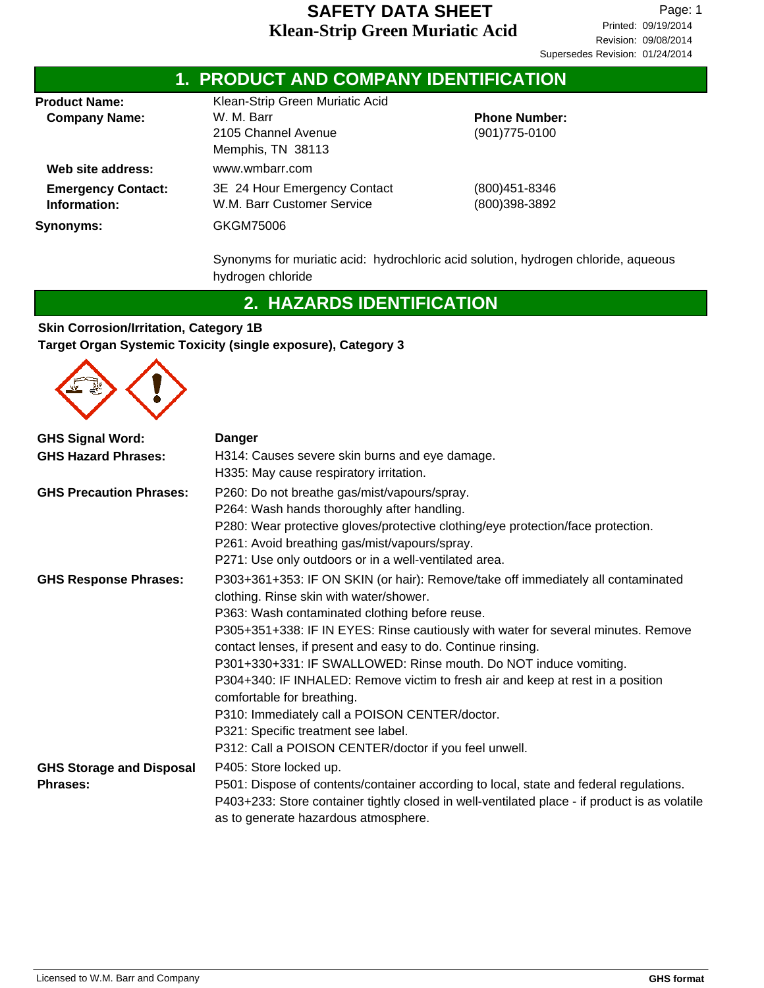| Klean-Strip Green Muriatic Acid<br>W. M. Barr<br><b>Phone Number:</b><br>2105 Channel Avenue<br>$(901)775 - 0100$ |                                 |  |
|-------------------------------------------------------------------------------------------------------------------|---------------------------------|--|
| www.wmbarr.com<br>3E 24 Hour Emergency Contact<br>W.M. Barr Customer Service<br>GKGM75006                         | (800) 451-8346<br>(800)398-3892 |  |
|                                                                                                                   | Memphis, TN 38113               |  |

Synonyms for muriatic acid: hydrochloric acid solution, hydrogen chloride, aqueous hydrogen chloride

## **2. HAZARDS IDENTIFICATION**

#### **Skin Corrosion/Irritation, Category 1B Target Organ Systemic Toxicity (single exposure), Category 3**



| <b>GHS Signal Word:</b>         | <b>Danger</b>                                                                                                                         |
|---------------------------------|---------------------------------------------------------------------------------------------------------------------------------------|
| <b>GHS Hazard Phrases:</b>      | H314: Causes severe skin burns and eye damage.                                                                                        |
|                                 | H335: May cause respiratory irritation.                                                                                               |
| <b>GHS Precaution Phrases:</b>  | P260: Do not breathe gas/mist/vapours/spray.                                                                                          |
|                                 | P264: Wash hands thoroughly after handling.                                                                                           |
|                                 | P280: Wear protective gloves/protective clothing/eye protection/face protection.                                                      |
|                                 | P261: Avoid breathing gas/mist/vapours/spray.                                                                                         |
|                                 | P271: Use only outdoors or in a well-ventilated area.                                                                                 |
| <b>GHS Response Phrases:</b>    | P303+361+353: IF ON SKIN (or hair): Remove/take off immediately all contaminated                                                      |
|                                 | clothing. Rinse skin with water/shower.                                                                                               |
|                                 | P363: Wash contaminated clothing before reuse.                                                                                        |
|                                 | P305+351+338: IF IN EYES: Rinse cautiously with water for several minutes. Remove                                                     |
|                                 | contact lenses, if present and easy to do. Continue rinsing.                                                                          |
|                                 | P301+330+331: IF SWALLOWED: Rinse mouth. Do NOT induce vomiting.                                                                      |
|                                 | P304+340: IF INHALED: Remove victim to fresh air and keep at rest in a position<br>comfortable for breathing.                         |
|                                 | P310: Immediately call a POISON CENTER/doctor.                                                                                        |
|                                 | P321: Specific treatment see label.                                                                                                   |
|                                 | P312: Call a POISON CENTER/doctor if you feel unwell.                                                                                 |
| <b>GHS Storage and Disposal</b> | P405: Store locked up.                                                                                                                |
| <b>Phrases:</b>                 | P501: Dispose of contents/container according to local, state and federal regulations.                                                |
|                                 | P403+233: Store container tightly closed in well-ventilated place - if product is as volatile<br>as to generate hazardous atmosphere. |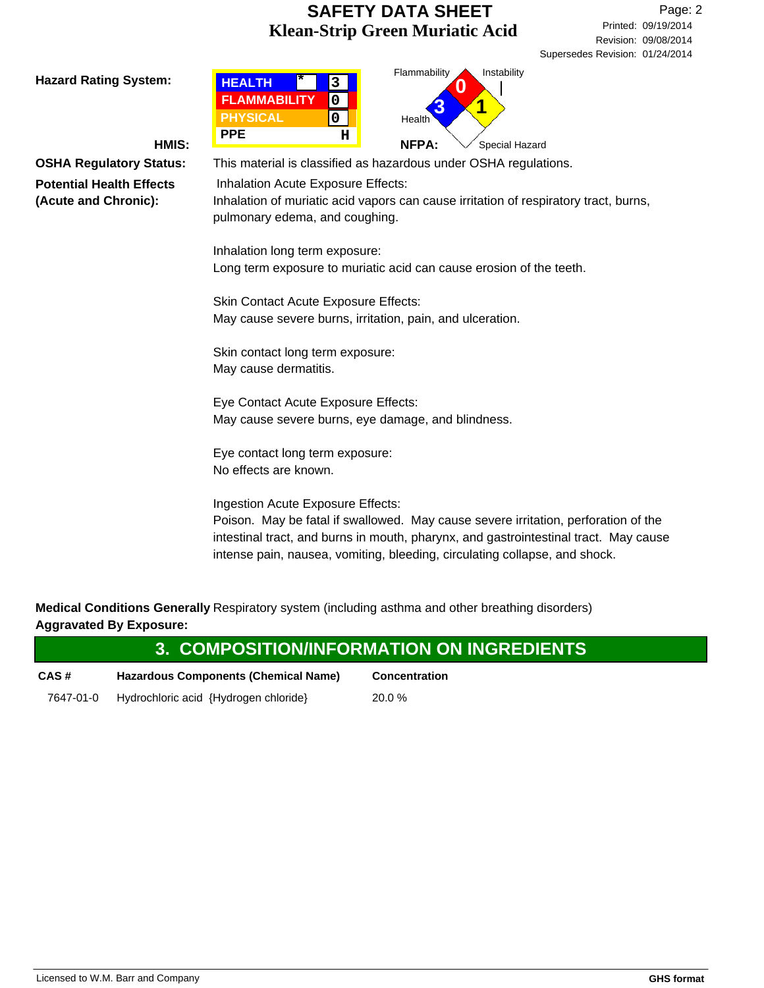Revision: 09/08/2014 Printed: 09/19/2014 Page: 2 Supersedes Revision: 01/24/2014

Hazard Rating System: **INSTERT HALL THE REAL THE REAL THE REAL THE REAL THE REAL THE REAL FILM REAL PROPERTY REAL PROPERTY REAL PROPERTY REAL PROPERTY REAL PROPERTY REAL PROPERTY REAL PROPERTY REAL PROPERTY REAL PROPERTY R** Special Hazard **Health** Flammability **HEALTH FLAMMABILITY PPE PHYSICAL 3 0 0 \* H 3 0 1 HMIS:**  $\begin{bmatrix} \bullet & \bullet & \bullet \\ \bullet & \bullet & \bullet \end{bmatrix}$  NFPA: **OSHA Regulatory Status:** This material is classified as hazardous under OSHA regulations. Inhalation Acute Exposure Effects: Inhalation of muriatic acid vapors can cause irritation of respiratory tract, burns, pulmonary edema, and coughing. Inhalation long term exposure: Long term exposure to muriatic acid can cause erosion of the teeth. Skin Contact Acute Exposure Effects: May cause severe burns, irritation, pain, and ulceration. Skin contact long term exposure: May cause dermatitis. Eye Contact Acute Exposure Effects: May cause severe burns, eye damage, and blindness. Eye contact long term exposure: No effects are known. Ingestion Acute Exposure Effects: Poison. May be fatal if swallowed. May cause severe irritation, perforation of the intestinal tract, and burns in mouth, pharynx, and gastrointestinal tract. May cause intense pain, nausea, vomiting, bleeding, circulating collapse, and shock.

**Medical Conditions Generally** Respiratory system (including asthma and other breathing disorders) **Aggravated By Exposure:**

|           |                                       | 3. COMPOSITION/INFORMATION ON INGREDIENTS |
|-----------|---------------------------------------|-------------------------------------------|
| CAS#      | Hazardous Components (Chemical Name)  | <b>Concentration</b>                      |
| 7647-01-0 | Hydrochloric acid {Hydrogen chloride} | $20.0 \%$                                 |

**Potential Health Effects (Acute and Chronic):**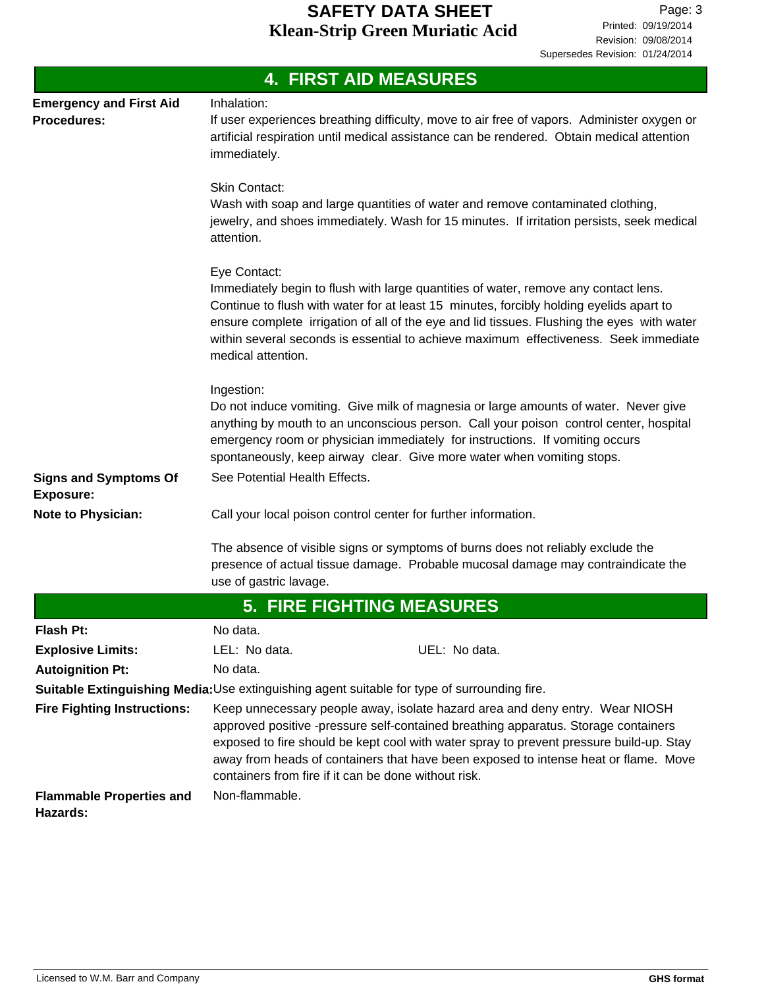| <b>4. FIRST AID MEASURES</b>                                                                 |                                                                                                                                                                                                                                                                                                                                                                                                              |  |  |  |
|----------------------------------------------------------------------------------------------|--------------------------------------------------------------------------------------------------------------------------------------------------------------------------------------------------------------------------------------------------------------------------------------------------------------------------------------------------------------------------------------------------------------|--|--|--|
| <b>Emergency and First Aid</b><br><b>Procedures:</b>                                         | Inhalation:<br>If user experiences breathing difficulty, move to air free of vapors. Administer oxygen or<br>artificial respiration until medical assistance can be rendered. Obtain medical attention<br>immediately.                                                                                                                                                                                       |  |  |  |
|                                                                                              | <b>Skin Contact:</b><br>Wash with soap and large quantities of water and remove contaminated clothing,<br>jewelry, and shoes immediately. Wash for 15 minutes. If irritation persists, seek medical<br>attention.                                                                                                                                                                                            |  |  |  |
|                                                                                              | Eye Contact:<br>Immediately begin to flush with large quantities of water, remove any contact lens.<br>Continue to flush with water for at least 15 minutes, forcibly holding eyelids apart to<br>ensure complete irrigation of all of the eye and lid tissues. Flushing the eyes with water<br>within several seconds is essential to achieve maximum effectiveness. Seek immediate<br>medical attention.   |  |  |  |
|                                                                                              | Ingestion:<br>Do not induce vomiting. Give milk of magnesia or large amounts of water. Never give<br>anything by mouth to an unconscious person. Call your poison control center, hospital<br>emergency room or physician immediately for instructions. If vomiting occurs<br>spontaneously, keep airway clear. Give more water when vomiting stops.                                                         |  |  |  |
| <b>Signs and Symptoms Of</b><br><b>Exposure:</b>                                             | See Potential Health Effects.                                                                                                                                                                                                                                                                                                                                                                                |  |  |  |
| <b>Note to Physician:</b>                                                                    | Call your local poison control center for further information.                                                                                                                                                                                                                                                                                                                                               |  |  |  |
|                                                                                              | The absence of visible signs or symptoms of burns does not reliably exclude the<br>presence of actual tissue damage. Probable mucosal damage may contraindicate the<br>use of gastric lavage.                                                                                                                                                                                                                |  |  |  |
|                                                                                              | <b>5. FIRE FIGHTING MEASURES</b>                                                                                                                                                                                                                                                                                                                                                                             |  |  |  |
| <b>Flash Pt:</b>                                                                             | No data.                                                                                                                                                                                                                                                                                                                                                                                                     |  |  |  |
| <b>Explosive Limits:</b>                                                                     | LEL: No data.<br>UEL: No data.                                                                                                                                                                                                                                                                                                                                                                               |  |  |  |
| <b>Autoignition Pt:</b>                                                                      | No data.                                                                                                                                                                                                                                                                                                                                                                                                     |  |  |  |
| Suitable Extinguishing Media: Use extinguishing agent suitable for type of surrounding fire. |                                                                                                                                                                                                                                                                                                                                                                                                              |  |  |  |
| <b>Fire Fighting Instructions:</b>                                                           | Keep unnecessary people away, isolate hazard area and deny entry. Wear NIOSH<br>approved positive -pressure self-contained breathing apparatus. Storage containers<br>exposed to fire should be kept cool with water spray to prevent pressure build-up. Stay<br>away from heads of containers that have been exposed to intense heat or flame. Move<br>containers from fire if it can be done without risk. |  |  |  |
| <b>Flammable Properties and</b><br>Hazards:                                                  | Non-flammable.                                                                                                                                                                                                                                                                                                                                                                                               |  |  |  |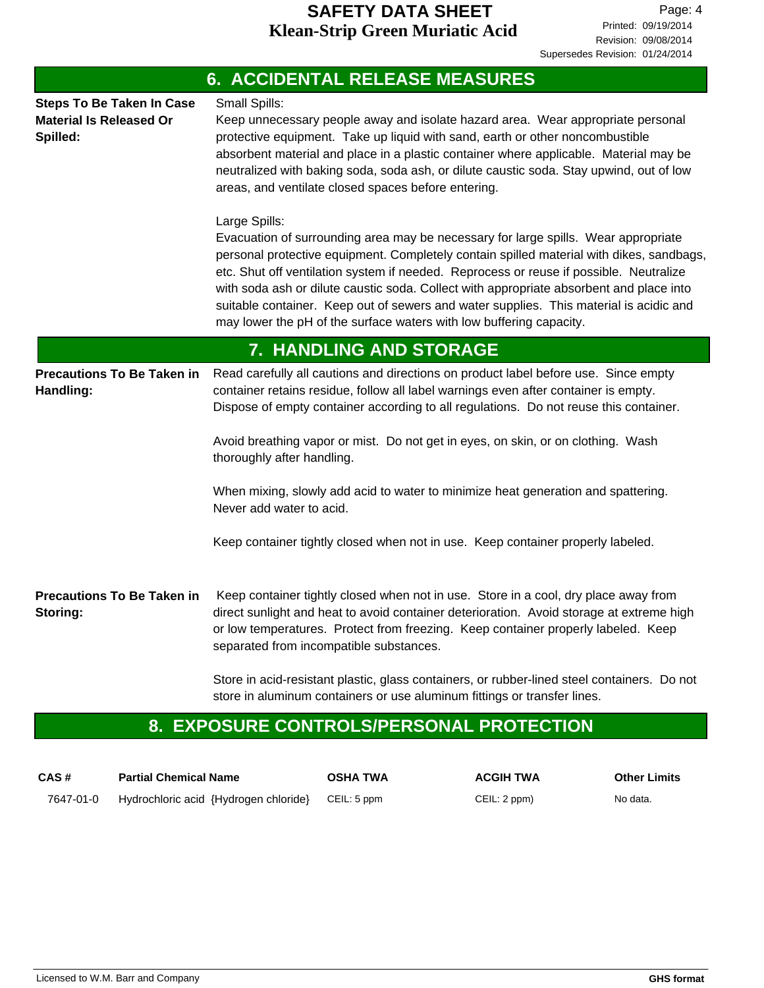| <b>6. ACCIDENTAL RELEASE MEASURES</b>                                          |                                                                                                                                                                                                                                                                                                                                                                                                                                                                                                                                                       |  |  |
|--------------------------------------------------------------------------------|-------------------------------------------------------------------------------------------------------------------------------------------------------------------------------------------------------------------------------------------------------------------------------------------------------------------------------------------------------------------------------------------------------------------------------------------------------------------------------------------------------------------------------------------------------|--|--|
| <b>Steps To Be Taken In Case</b><br><b>Material Is Released Or</b><br>Spilled: | Small Spills:<br>Keep unnecessary people away and isolate hazard area. Wear appropriate personal<br>protective equipment. Take up liquid with sand, earth or other noncombustible<br>absorbent material and place in a plastic container where applicable. Material may be<br>neutralized with baking soda, soda ash, or dilute caustic soda. Stay upwind, out of low<br>areas, and ventilate closed spaces before entering.                                                                                                                          |  |  |
|                                                                                | Large Spills:<br>Evacuation of surrounding area may be necessary for large spills. Wear appropriate<br>personal protective equipment. Completely contain spilled material with dikes, sandbags,<br>etc. Shut off ventilation system if needed. Reprocess or reuse if possible. Neutralize<br>with soda ash or dilute caustic soda. Collect with appropriate absorbent and place into<br>suitable container. Keep out of sewers and water supplies. This material is acidic and<br>may lower the pH of the surface waters with low buffering capacity. |  |  |
|                                                                                | 7. HANDLING AND STORAGE                                                                                                                                                                                                                                                                                                                                                                                                                                                                                                                               |  |  |
| <b>Precautions To Be Taken in</b><br>Handling:                                 | Read carefully all cautions and directions on product label before use. Since empty<br>container retains residue, follow all label warnings even after container is empty.<br>Dispose of empty container according to all regulations. Do not reuse this container.                                                                                                                                                                                                                                                                                   |  |  |
|                                                                                | Avoid breathing vapor or mist. Do not get in eyes, on skin, or on clothing. Wash<br>thoroughly after handling.                                                                                                                                                                                                                                                                                                                                                                                                                                        |  |  |
|                                                                                | When mixing, slowly add acid to water to minimize heat generation and spattering.<br>Never add water to acid.                                                                                                                                                                                                                                                                                                                                                                                                                                         |  |  |
|                                                                                | Keep container tightly closed when not in use. Keep container properly labeled.                                                                                                                                                                                                                                                                                                                                                                                                                                                                       |  |  |
| <b>Precautions To Be Taken in</b><br>Storing:                                  | Keep container tightly closed when not in use. Store in a cool, dry place away from<br>direct sunlight and heat to avoid container deterioration. Avoid storage at extreme high<br>or low temperatures. Protect from freezing. Keep container properly labeled. Keep<br>separated from incompatible substances.                                                                                                                                                                                                                                       |  |  |
|                                                                                | Store in acid-resistant plastic, glass containers, or rubber-lined steel containers. Do not                                                                                                                                                                                                                                                                                                                                                                                                                                                           |  |  |

store in aluminum containers or use aluminum fittings or transfer lines.

# **8. EXPOSURE CONTROLS/PERSONAL PROTECTION**

| CAS#      | <b>Partial Chemical Name</b>          | <b>OSHA TWA</b> | <b>ACGIH TWA</b> | <b>Other Limits</b> |
|-----------|---------------------------------------|-----------------|------------------|---------------------|
| 7647-01-0 | Hydrochloric acid {Hydrogen chloride} | CEIL: 5 ppm     | CEIL: 2 ppm)     | No data.            |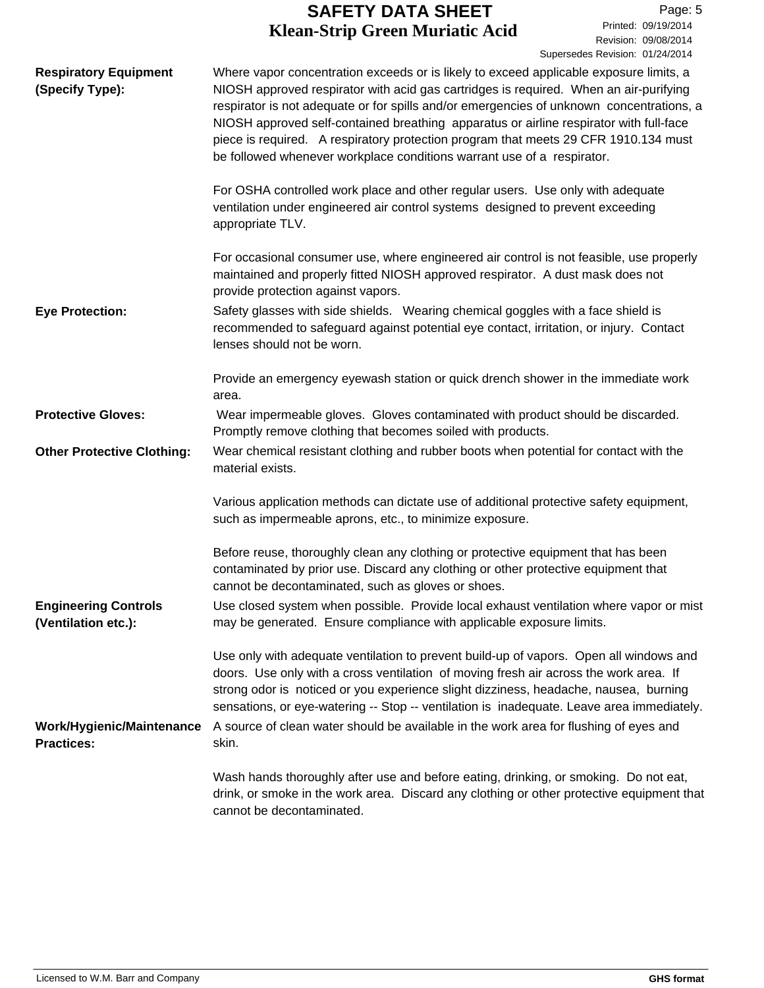Revision: 09/08/2014 Printed: 09/19/2014 Page: 5 Supersedes Revision: 01/24/2014

| <b>Respiratory Equipment</b><br>(Specify Type):    | Where vapor concentration exceeds or is likely to exceed applicable exposure limits, a<br>NIOSH approved respirator with acid gas cartridges is required. When an air-purifying<br>respirator is not adequate or for spills and/or emergencies of unknown concentrations, a<br>NIOSH approved self-contained breathing apparatus or airline respirator with full-face<br>piece is required. A respiratory protection program that meets 29 CFR 1910.134 must<br>be followed whenever workplace conditions warrant use of a respirator. |
|----------------------------------------------------|----------------------------------------------------------------------------------------------------------------------------------------------------------------------------------------------------------------------------------------------------------------------------------------------------------------------------------------------------------------------------------------------------------------------------------------------------------------------------------------------------------------------------------------|
|                                                    | For OSHA controlled work place and other regular users. Use only with adequate<br>ventilation under engineered air control systems designed to prevent exceeding<br>appropriate TLV.                                                                                                                                                                                                                                                                                                                                                   |
|                                                    | For occasional consumer use, where engineered air control is not feasible, use properly<br>maintained and properly fitted NIOSH approved respirator. A dust mask does not<br>provide protection against vapors.                                                                                                                                                                                                                                                                                                                        |
| <b>Eye Protection:</b>                             | Safety glasses with side shields. Wearing chemical goggles with a face shield is<br>recommended to safeguard against potential eye contact, irritation, or injury. Contact<br>lenses should not be worn.                                                                                                                                                                                                                                                                                                                               |
|                                                    | Provide an emergency eyewash station or quick drench shower in the immediate work<br>area.                                                                                                                                                                                                                                                                                                                                                                                                                                             |
| <b>Protective Gloves:</b>                          | Wear impermeable gloves. Gloves contaminated with product should be discarded.<br>Promptly remove clothing that becomes soiled with products.                                                                                                                                                                                                                                                                                                                                                                                          |
| <b>Other Protective Clothing:</b>                  | Wear chemical resistant clothing and rubber boots when potential for contact with the<br>material exists.                                                                                                                                                                                                                                                                                                                                                                                                                              |
|                                                    | Various application methods can dictate use of additional protective safety equipment,<br>such as impermeable aprons, etc., to minimize exposure.                                                                                                                                                                                                                                                                                                                                                                                      |
|                                                    | Before reuse, thoroughly clean any clothing or protective equipment that has been<br>contaminated by prior use. Discard any clothing or other protective equipment that<br>cannot be decontaminated, such as gloves or shoes.                                                                                                                                                                                                                                                                                                          |
| <b>Engineering Controls</b><br>(Ventilation etc.): | Use closed system when possible. Provide local exhaust ventilation where vapor or mist<br>may be generated. Ensure compliance with applicable exposure limits.                                                                                                                                                                                                                                                                                                                                                                         |
| Work/Hygienic/Maintenance<br><b>Practices:</b>     | Use only with adequate ventilation to prevent build-up of vapors. Open all windows and<br>doors. Use only with a cross ventilation of moving fresh air across the work area. If<br>strong odor is noticed or you experience slight dizziness, headache, nausea, burning<br>sensations, or eye-watering -- Stop -- ventilation is inadequate. Leave area immediately.<br>A source of clean water should be available in the work area for flushing of eyes and<br>skin.                                                                 |
|                                                    | Wash hands thoroughly after use and before eating, drinking, or smoking. Do not eat,<br>drink, or smoke in the work area. Discard any clothing or other protective equipment that<br>cannot be decontaminated.                                                                                                                                                                                                                                                                                                                         |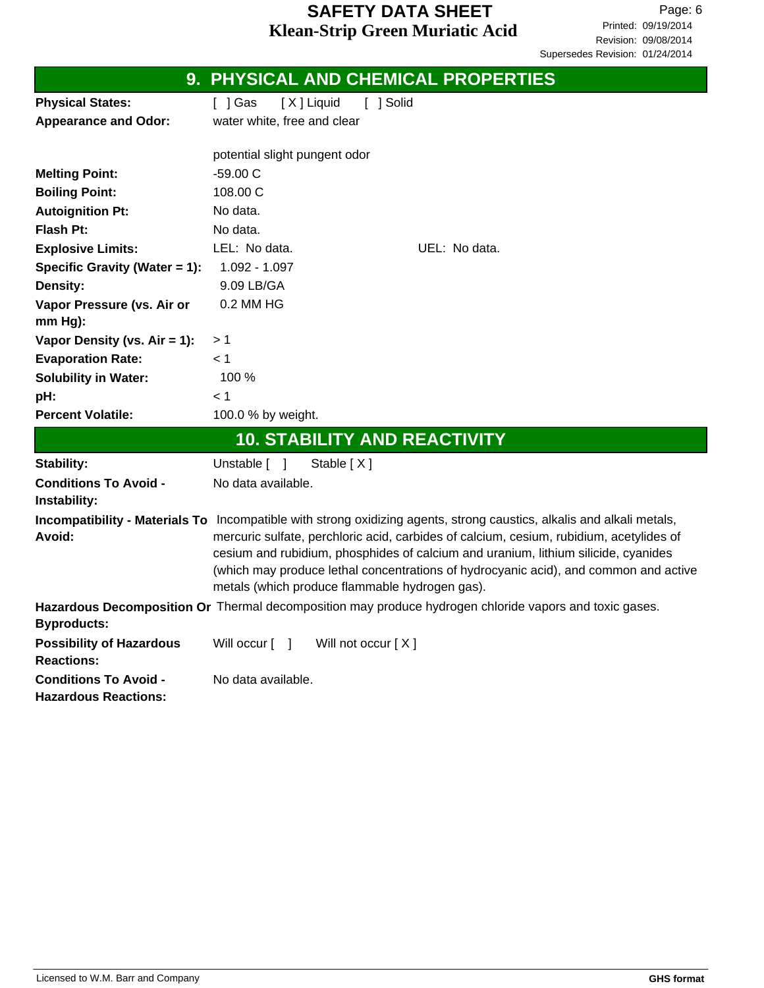|                                                             | 9. PHYSICAL AND CHEMICAL PROPERTIES                                                                                                                                                                                                                                                                                                                                                                                                              |
|-------------------------------------------------------------|--------------------------------------------------------------------------------------------------------------------------------------------------------------------------------------------------------------------------------------------------------------------------------------------------------------------------------------------------------------------------------------------------------------------------------------------------|
| <b>Physical States:</b>                                     | [ ] Solid<br>[X] Liquid<br>$[$ ] Gas                                                                                                                                                                                                                                                                                                                                                                                                             |
| <b>Appearance and Odor:</b>                                 | water white, free and clear                                                                                                                                                                                                                                                                                                                                                                                                                      |
|                                                             |                                                                                                                                                                                                                                                                                                                                                                                                                                                  |
|                                                             | potential slight pungent odor                                                                                                                                                                                                                                                                                                                                                                                                                    |
| <b>Melting Point:</b>                                       | $-59.00C$                                                                                                                                                                                                                                                                                                                                                                                                                                        |
| <b>Boiling Point:</b>                                       | 108.00 C                                                                                                                                                                                                                                                                                                                                                                                                                                         |
| <b>Autoignition Pt:</b>                                     | No data.                                                                                                                                                                                                                                                                                                                                                                                                                                         |
| <b>Flash Pt:</b>                                            | No data.                                                                                                                                                                                                                                                                                                                                                                                                                                         |
| <b>Explosive Limits:</b>                                    | LEL: No data.<br>UEL: No data.                                                                                                                                                                                                                                                                                                                                                                                                                   |
| Specific Gravity (Water = 1):                               | 1.092 - 1.097                                                                                                                                                                                                                                                                                                                                                                                                                                    |
| Density:                                                    | 9.09 LB/GA                                                                                                                                                                                                                                                                                                                                                                                                                                       |
| Vapor Pressure (vs. Air or                                  | 0.2 MM HG                                                                                                                                                                                                                                                                                                                                                                                                                                        |
| mm Hg):                                                     |                                                                                                                                                                                                                                                                                                                                                                                                                                                  |
| Vapor Density (vs. Air = 1):                                | > 1                                                                                                                                                                                                                                                                                                                                                                                                                                              |
| <b>Evaporation Rate:</b>                                    | < 1                                                                                                                                                                                                                                                                                                                                                                                                                                              |
| <b>Solubility in Water:</b>                                 | 100 %                                                                                                                                                                                                                                                                                                                                                                                                                                            |
| pH:                                                         | < 1                                                                                                                                                                                                                                                                                                                                                                                                                                              |
| <b>Percent Volatile:</b>                                    | 100.0 % by weight.                                                                                                                                                                                                                                                                                                                                                                                                                               |
|                                                             | <b>10. STABILITY AND REACTIVITY</b>                                                                                                                                                                                                                                                                                                                                                                                                              |
| Stability:                                                  | Unstable [ ]<br>Stable $[X]$                                                                                                                                                                                                                                                                                                                                                                                                                     |
| <b>Conditions To Avoid -</b>                                | No data available.                                                                                                                                                                                                                                                                                                                                                                                                                               |
| Instability:                                                |                                                                                                                                                                                                                                                                                                                                                                                                                                                  |
| Avoid:                                                      | Incompatibility - Materials To Incompatible with strong oxidizing agents, strong caustics, alkalis and alkali metals,<br>mercuric sulfate, perchloric acid, carbides of calcium, cesium, rubidium, acetylides of<br>cesium and rubidium, phosphides of calcium and uranium, lithium silicide, cyanides<br>(which may produce lethal concentrations of hydrocyanic acid), and common and active<br>metals (which produce flammable hydrogen gas). |
|                                                             | Hazardous Decomposition Or Thermal decomposition may produce hydrogen chloride vapors and toxic gases.                                                                                                                                                                                                                                                                                                                                           |
| <b>Byproducts:</b>                                          |                                                                                                                                                                                                                                                                                                                                                                                                                                                  |
| <b>Possibility of Hazardous</b>                             | Will occur [ ]<br>Will not occur $[X]$                                                                                                                                                                                                                                                                                                                                                                                                           |
| <b>Reactions:</b>                                           |                                                                                                                                                                                                                                                                                                                                                                                                                                                  |
| <b>Conditions To Avoid -</b><br><b>Hazardous Reactions:</b> | No data available.                                                                                                                                                                                                                                                                                                                                                                                                                               |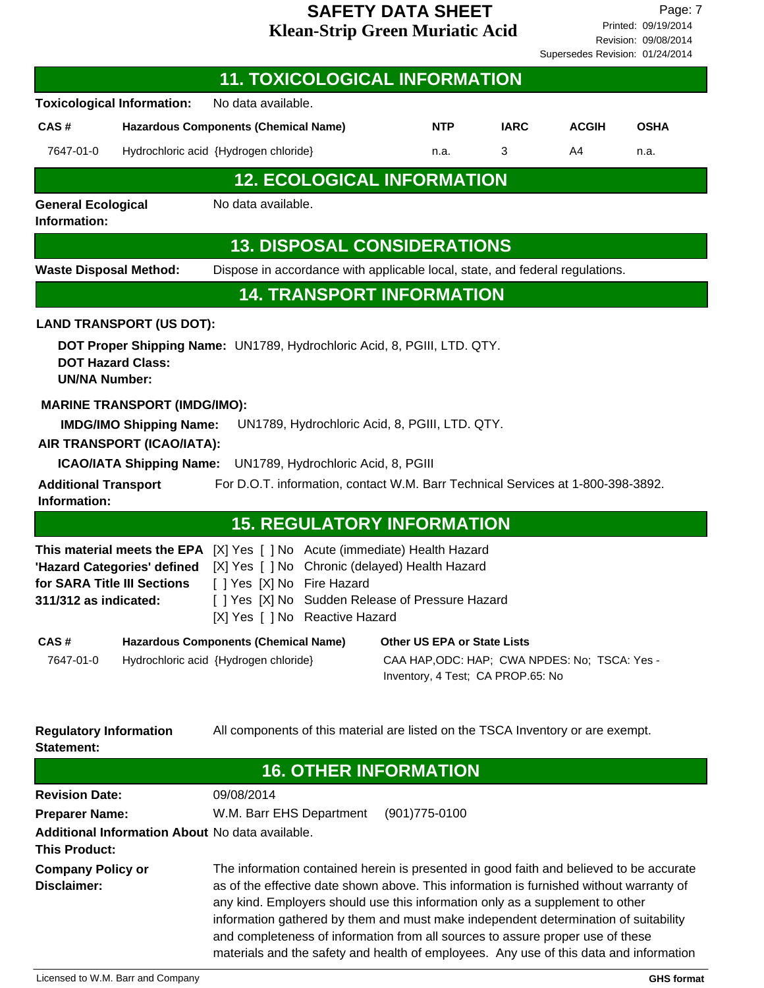Revision: 09/08/2014 Printed: 09/19/2014 Page: 7 Supersedes Revision: 01/24/2014

|                                                    |                                                                                                                                        | <b>11. TOXICOLOGICAL INFORMATION</b>                                                                                                                                                                                                                                                                                                                                                                                                                                                                                                   |                                                                                                                          |             |              |                   |
|----------------------------------------------------|----------------------------------------------------------------------------------------------------------------------------------------|----------------------------------------------------------------------------------------------------------------------------------------------------------------------------------------------------------------------------------------------------------------------------------------------------------------------------------------------------------------------------------------------------------------------------------------------------------------------------------------------------------------------------------------|--------------------------------------------------------------------------------------------------------------------------|-------------|--------------|-------------------|
|                                                    | <b>Toxicological Information:</b>                                                                                                      | No data available.                                                                                                                                                                                                                                                                                                                                                                                                                                                                                                                     |                                                                                                                          |             |              |                   |
| CAS#                                               |                                                                                                                                        | <b>Hazardous Components (Chemical Name)</b>                                                                                                                                                                                                                                                                                                                                                                                                                                                                                            | <b>NTP</b>                                                                                                               | <b>IARC</b> | <b>ACGIH</b> | <b>OSHA</b>       |
| 7647-01-0                                          |                                                                                                                                        | Hydrochloric acid {Hydrogen chloride}                                                                                                                                                                                                                                                                                                                                                                                                                                                                                                  | n.a.                                                                                                                     | 3           | A4           | n.a.              |
|                                                    |                                                                                                                                        | <b>12. ECOLOGICAL INFORMATION</b>                                                                                                                                                                                                                                                                                                                                                                                                                                                                                                      |                                                                                                                          |             |              |                   |
| <b>General Ecological</b><br>Information:          |                                                                                                                                        | No data available.                                                                                                                                                                                                                                                                                                                                                                                                                                                                                                                     |                                                                                                                          |             |              |                   |
|                                                    |                                                                                                                                        | <b>13. DISPOSAL CONSIDERATIONS</b>                                                                                                                                                                                                                                                                                                                                                                                                                                                                                                     |                                                                                                                          |             |              |                   |
| <b>Waste Disposal Method:</b>                      |                                                                                                                                        | Dispose in accordance with applicable local, state, and federal regulations.                                                                                                                                                                                                                                                                                                                                                                                                                                                           |                                                                                                                          |             |              |                   |
|                                                    |                                                                                                                                        | <b>14. TRANSPORT INFORMATION</b>                                                                                                                                                                                                                                                                                                                                                                                                                                                                                                       |                                                                                                                          |             |              |                   |
| <b>UN/NA Number:</b>                               | <b>LAND TRANSPORT (US DOT):</b><br><b>DOT Hazard Class:</b>                                                                            | DOT Proper Shipping Name: UN1789, Hydrochloric Acid, 8, PGIII, LTD. QTY.                                                                                                                                                                                                                                                                                                                                                                                                                                                               |                                                                                                                          |             |              |                   |
| <b>Additional Transport</b><br>Information:        | <b>MARINE TRANSPORT (IMDG/IMO):</b><br><b>IMDG/IMO Shipping Name:</b><br>AIR TRANSPORT (ICAO/IATA):<br><b>ICAO/IATA Shipping Name:</b> | UN1789, Hydrochloric Acid, 8, PGIII, LTD. QTY.<br>UN1789, Hydrochloric Acid, 8, PGIII<br>For D.O.T. information, contact W.M. Barr Technical Services at 1-800-398-3892.                                                                                                                                                                                                                                                                                                                                                               |                                                                                                                          |             |              |                   |
|                                                    |                                                                                                                                        | <b>15. REGULATORY INFORMATION</b>                                                                                                                                                                                                                                                                                                                                                                                                                                                                                                      |                                                                                                                          |             |              |                   |
| 311/312 as indicated:                              | 'Hazard Categories' defined<br>for SARA Title III Sections                                                                             | <b>This material meets the EPA</b> [X] Yes [ ] No Acute (immediate) Health Hazard<br>[X] Yes [ ] No Chronic (delayed) Health Hazard<br>[ ] Yes [X] No Fire Hazard<br>[ ] Yes [X] No Sudden Release of Pressure Hazard<br>[X] Yes [ ] No Reactive Hazard                                                                                                                                                                                                                                                                                |                                                                                                                          |             |              |                   |
| CAS#<br>7647-01-0                                  |                                                                                                                                        | <b>Hazardous Components (Chemical Name)</b><br>Hydrochloric acid {Hydrogen chloride}                                                                                                                                                                                                                                                                                                                                                                                                                                                   | <b>Other US EPA or State Lists</b><br>CAA HAP, ODC: HAP; CWA NPDES: No; TSCA: Yes -<br>Inventory, 4 Test; CA PROP.65: No |             |              |                   |
| <b>Regulatory Information</b><br><b>Statement:</b> |                                                                                                                                        | All components of this material are listed on the TSCA Inventory or are exempt.                                                                                                                                                                                                                                                                                                                                                                                                                                                        |                                                                                                                          |             |              |                   |
|                                                    |                                                                                                                                        |                                                                                                                                                                                                                                                                                                                                                                                                                                                                                                                                        | <b>16. OTHER INFORMATION</b>                                                                                             |             |              |                   |
| <b>Revision Date:</b>                              |                                                                                                                                        | 09/08/2014                                                                                                                                                                                                                                                                                                                                                                                                                                                                                                                             |                                                                                                                          |             |              |                   |
| <b>Preparer Name:</b><br><b>This Product:</b>      |                                                                                                                                        | W.M. Barr EHS Department<br>Additional Information About No data available.                                                                                                                                                                                                                                                                                                                                                                                                                                                            | $(901)775-0100$                                                                                                          |             |              |                   |
| <b>Company Policy or</b><br>Disclaimer:            |                                                                                                                                        | The information contained herein is presented in good faith and believed to be accurate<br>as of the effective date shown above. This information is furnished without warranty of<br>any kind. Employers should use this information only as a supplement to other<br>information gathered by them and must make independent determination of suitability<br>and completeness of information from all sources to assure proper use of these<br>materials and the safety and health of employees. Any use of this data and information |                                                                                                                          |             |              |                   |
|                                                    | Licensed to W.M. Barr and Company                                                                                                      |                                                                                                                                                                                                                                                                                                                                                                                                                                                                                                                                        |                                                                                                                          |             |              | <b>GHS format</b> |